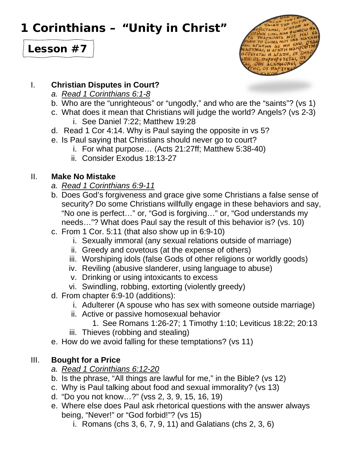# **1 Corinthians – "Unity in Christ"**





#### I. **Christian Disputes in Court?**

- *a. Read 1 Corinthians 6:1-8*
- b. Who are the "unrighteous" or "ungodly," and who are the "saints"? (vs 1)
- c. What does it mean that Christians will judge the world? Angels? (vs 2-3) i. See Daniel 7:22; Matthew 19:28
- d. Read 1 Cor 4:14. Why is Paul saying the opposite in vs 5?
- e. Is Paul saying that Christians should never go to court?
	- i. For what purpose… (Acts 21:27ff; Matthew 5:38-40)
	- ii. Consider Exodus 18:13-27

## II. **Make No Mistake**

- *a. Read 1 Corinthians 6:9-11*
- b. Does God's forgiveness and grace give some Christians a false sense of security? Do some Christians willfully engage in these behaviors and say, "No one is perfect…" or, "God is forgiving…" or, "God understands my needs…"? What does Paul say the result of this behavior is? (vs. 10)
- c. From 1 Cor. 5:11 (that also show up in 6:9-10)
	- i. Sexually immoral (any sexual relations outside of marriage)
	- ii. Greedy and covetous (at the expense of others)
	- iii. Worshiping idols (false Gods of other religions or worldly goods)
	- iv. Reviling (abusive slanderer, using language to abuse)
	- v. Drinking or using intoxicants to excess
	- vi. Swindling, robbing, extorting (violently greedy)
- d. From chapter 6:9-10 (additions):
	- i. Adulterer (A spouse who has sex with someone outside marriage)
	- ii. Active or passive homosexual behavior
		- 1. See Romans 1:26-27; 1 Timothy 1:10; Leviticus 18:22; 20:13
	- iii. Thieves (robbing and stealing)
- e. How do we avoid falling for these temptations? (vs 11)

## III. **Bought for a Price**

- *a. Read 1 Corinthians 6:12-20*
- b. Is the phrase, "All things are lawful for me," in the Bible? (vs 12)
- c. Why is Paul talking about food and sexual immorality? (vs 13)
- d. "Do you not know…?" (vss 2, 3, 9, 15, 16, 19)
- e. Where else does Paul ask rhetorical questions with the answer always being, "Never!" or "God forbid!"? (vs 15)
	- i. Romans (chs 3, 6, 7, 9, 11) and Galatians (chs 2, 3, 6)